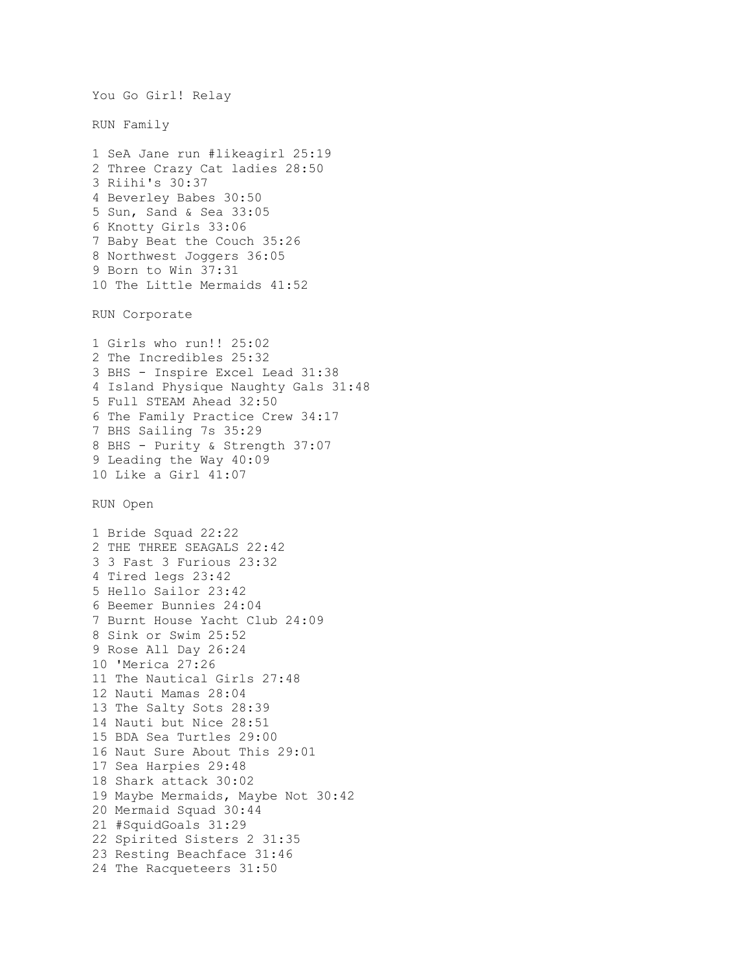```
You Go Girl! Relay 
RUN Family 
1 SeA Jane run #likeagirl 25:19
2 Three Crazy Cat ladies 28:50
3 Riihi's 30:37
4 Beverley Babes 30:50
5 Sun, Sand & Sea 33:05
6 Knotty Girls 33:06
7 Baby Beat the Couch 35:26
8 Northwest Joggers 36:05
9 Born to Win 37:31
10 The Little Mermaids 41:52
RUN Corporate 
1 Girls who run!! 25:02
2 The Incredibles 25:32
3 BHS - Inspire Excel Lead 31:38
4 Island Physique Naughty Gals 31:48
5 Full STEAM Ahead 32:50
6 The Family Practice Crew 34:17
7 BHS Sailing 7s 35:29
8 BHS - Purity & Strength 37:07
9 Leading the Way 40:09
10 Like a Girl 41:07
RUN Open 
1 Bride Squad 22:22
2 THE THREE SEAGALS 22:42
3 3 Fast 3 Furious 23:32
4 Tired legs 23:42
5 Hello Sailor 23:42
6 Beemer Bunnies 24:04
7 Burnt House Yacht Club 24:09
8 Sink or Swim 25:52
9 Rose All Day 26:24
10 'Merica 27:26
11 The Nautical Girls 27:48
12 Nauti Mamas 28:04
13 The Salty Sots 28:39
14 Nauti but Nice 28:51
15 BDA Sea Turtles 29:00
16 Naut Sure About This 29:01
17 Sea Harpies 29:48
18 Shark attack 30:02
19 Maybe Mermaids, Maybe Not 30:42
20 Mermaid Squad 30:44
21 #SquidGoals 31:29
22 Spirited Sisters 2 31:35
23 Resting Beachface 31:46
24 The Racqueteers 31:50
```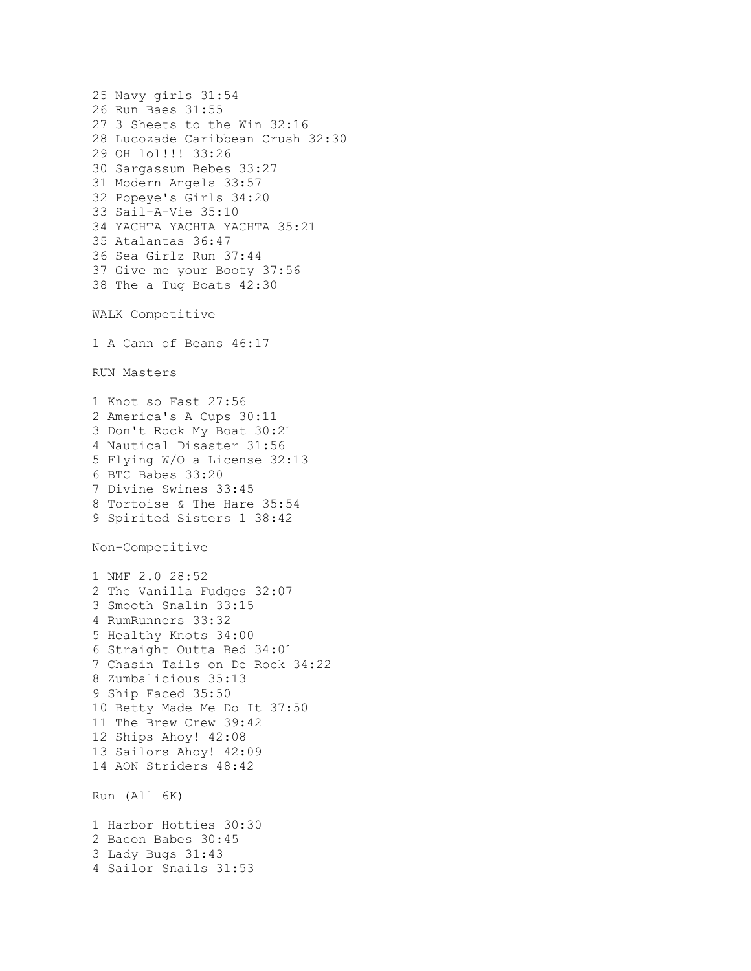```
25 Navy girls 31:54
26 Run Baes 31:55
27 3 Sheets to the Win 32:16
28 Lucozade Caribbean Crush 32:30
29 OH lol!!! 33:26
30 Sargassum Bebes 33:27
31 Modern Angels 33:57
32 Popeye's Girls 34:20
33 Sail-A-Vie 35:10
34 YACHTA YACHTA YACHTA 35:21
35 Atalantas 36:47
36 Sea Girlz Run 37:44
37 Give me your Booty 37:56
38 The a Tug Boats 42:30
WALK Competitive 
1 A Cann of Beans 46:17
RUN Masters 
1 Knot so Fast 27:56
2 America's A Cups 30:11
3 Don't Rock My Boat 30:21
4 Nautical Disaster 31:56
5 Flying W/O a License 32:13
6 BTC Babes 33:20
7 Divine Swines 33:45
8 Tortoise & The Hare 35:54
9 Spirited Sisters 1 38:42
Non–Competitive 
1 NMF 2.0 28:52
2 The Vanilla Fudges 32:07
3 Smooth Snalin 33:15
4 RumRunners 33:32
5 Healthy Knots 34:00
6 Straight Outta Bed 34:01
7 Chasin Tails on De Rock 34:22
8 Zumbalicious 35:13
9 Ship Faced 35:50
10 Betty Made Me Do It 37:50
11 The Brew Crew 39:42
12 Ships Ahoy! 42:08
13 Sailors Ahoy! 42:09
14 AON Striders 48:42
Run (All 6K) 
1 Harbor Hotties 30:30
2 Bacon Babes 30:45
3 Lady Bugs 31:43
4 Sailor Snails 31:53
```